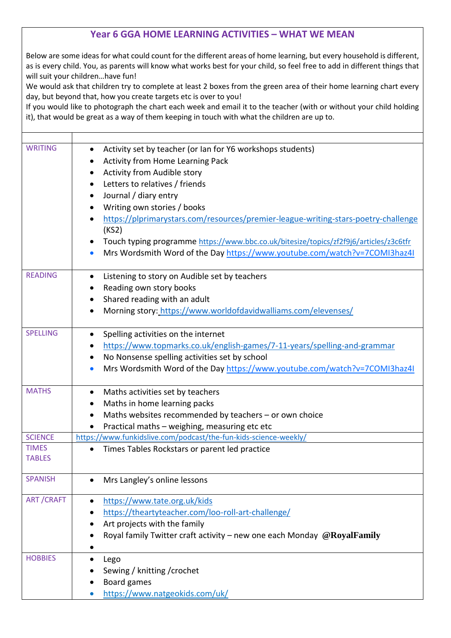## **Year 6 GGA HOME LEARNING ACTIVITIES – WHAT WE MEAN**

Below are some ideas for what could count for the different areas of home learning, but every household is different, as is every child. You, as parents will know what works best for your child, so feel free to add in different things that will suit your children…have fun!

We would ask that children try to complete at least 2 boxes from the green area of their home learning chart every day, but beyond that, how you create targets etc is over to you!

If you would like to photograph the chart each week and email it to the teacher (with or without your child holding it), that would be great as a way of them keeping in touch with what the children are up to.

| <b>WRITING</b>   | Activity set by teacher (or Ian for Y6 workshops students)                            |
|------------------|---------------------------------------------------------------------------------------|
|                  | <b>Activity from Home Learning Pack</b>                                               |
|                  | Activity from Audible story<br>$\bullet$                                              |
|                  | Letters to relatives / friends<br>$\bullet$                                           |
|                  | Journal / diary entry<br>$\bullet$                                                    |
|                  | Writing own stories / books                                                           |
|                  | https://plprimarystars.com/resources/premier-league-writing-stars-poetry-challenge    |
|                  | (KS2)                                                                                 |
|                  | Touch typing programme https://www.bbc.co.uk/bitesize/topics/zf2f9j6/articles/z3c6tfr |
|                  | Mrs Wordsmith Word of the Day https://www.youtube.com/watch?v=7COMI3haz4I             |
|                  |                                                                                       |
| <b>READING</b>   | Listening to story on Audible set by teachers<br>$\bullet$                            |
|                  | Reading own story books                                                               |
|                  | Shared reading with an adult<br>$\bullet$                                             |
|                  | Morning story: https://www.worldofdavidwalliams.com/elevenses/                        |
|                  |                                                                                       |
| <b>SPELLING</b>  | Spelling activities on the internet                                                   |
|                  | https://www.topmarks.co.uk/english-games/7-11-years/spelling-and-grammar              |
|                  | No Nonsense spelling activities set by school<br>$\bullet$                            |
|                  | Mrs Wordsmith Word of the Day https://www.youtube.com/watch?v=7COMI3haz4I             |
|                  |                                                                                       |
| <b>MATHS</b>     | Maths activities set by teachers<br>٠                                                 |
|                  | Maths in home learning packs<br>٠                                                     |
|                  | Maths websites recommended by teachers - or own choice                                |
|                  | Practical maths - weighing, measuring etc etc<br>$\bullet$                            |
| <b>SCIENCE</b>   | https://www.funkidslive.com/podcast/the-fun-kids-science-weekly/                      |
| <b>TIMES</b>     | Times Tables Rockstars or parent led practice<br>$\bullet$                            |
| <b>TABLES</b>    |                                                                                       |
| <b>SPANISH</b>   | Mrs Langley's online lessons                                                          |
|                  |                                                                                       |
| <b>ART/CRAFT</b> | https://www.tate.org.uk/kids                                                          |
|                  | https://theartyteacher.com/loo-roll-art-challenge/                                    |
|                  | Art projects with the family                                                          |
|                  | Royal family Twitter craft activity – new one each Monday $@RoyalFamily$              |
|                  |                                                                                       |
| <b>HOBBIES</b>   | Lego                                                                                  |
|                  | Sewing / knitting / crochet                                                           |
|                  | Board games                                                                           |
|                  | https://www.natgeokids.com/uk/                                                        |
|                  |                                                                                       |